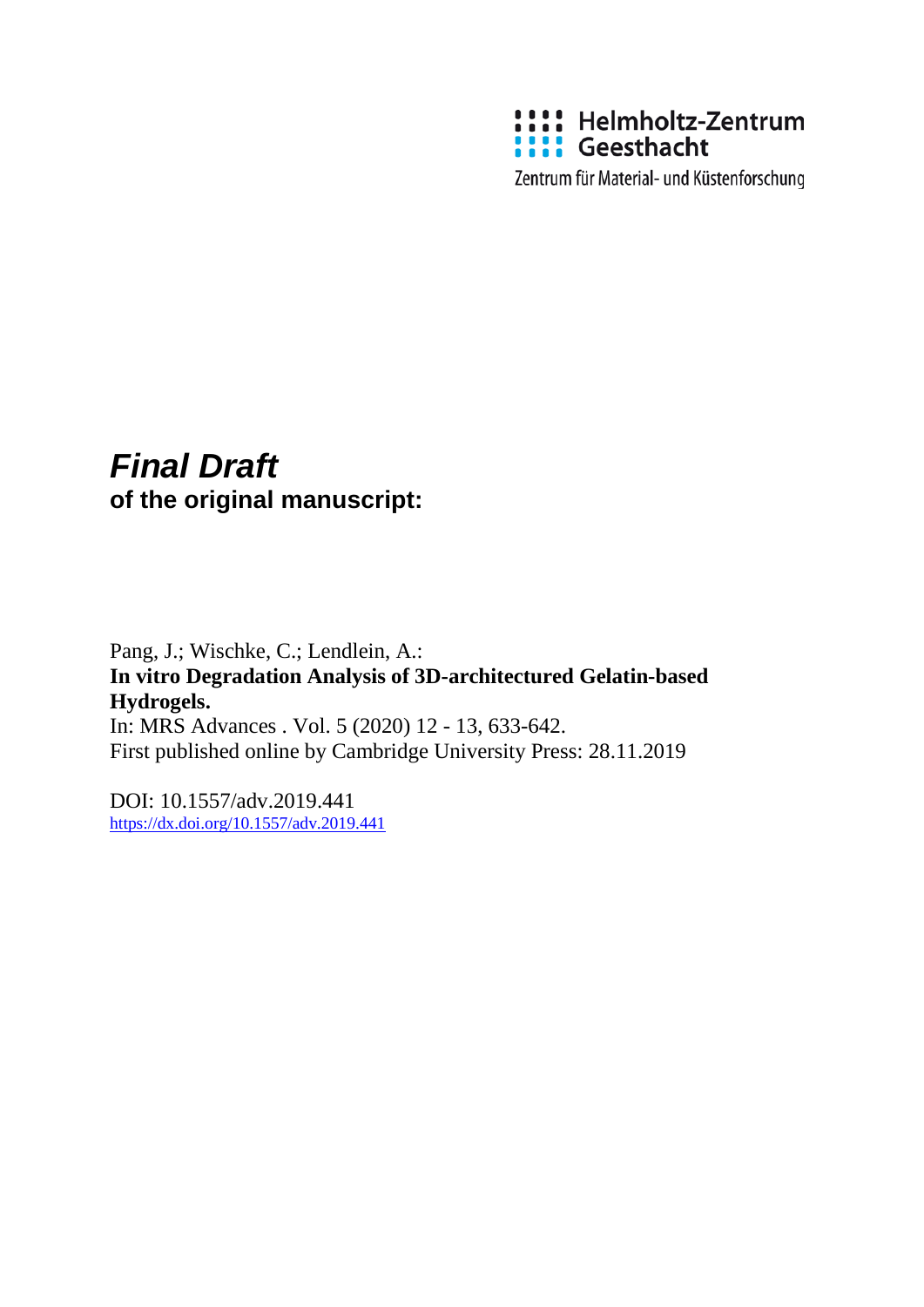

Zentrum für Material- und Küstenforschung

# *Final Draft*  **of the original manuscript:**

Pang, J.; Wischke, C.; Lendlein, A.: **In vitro Degradation Analysis of 3D-architectured Gelatin-based Hydrogels.**  In: MRS Advances . Vol. 5 (2020) 12 - 13, 633-642. First published online by Cambridge University Press: 28.11.2019

DOI: 10.1557/adv.2019.441 <https://dx.doi.org/10.1557/adv.2019.441>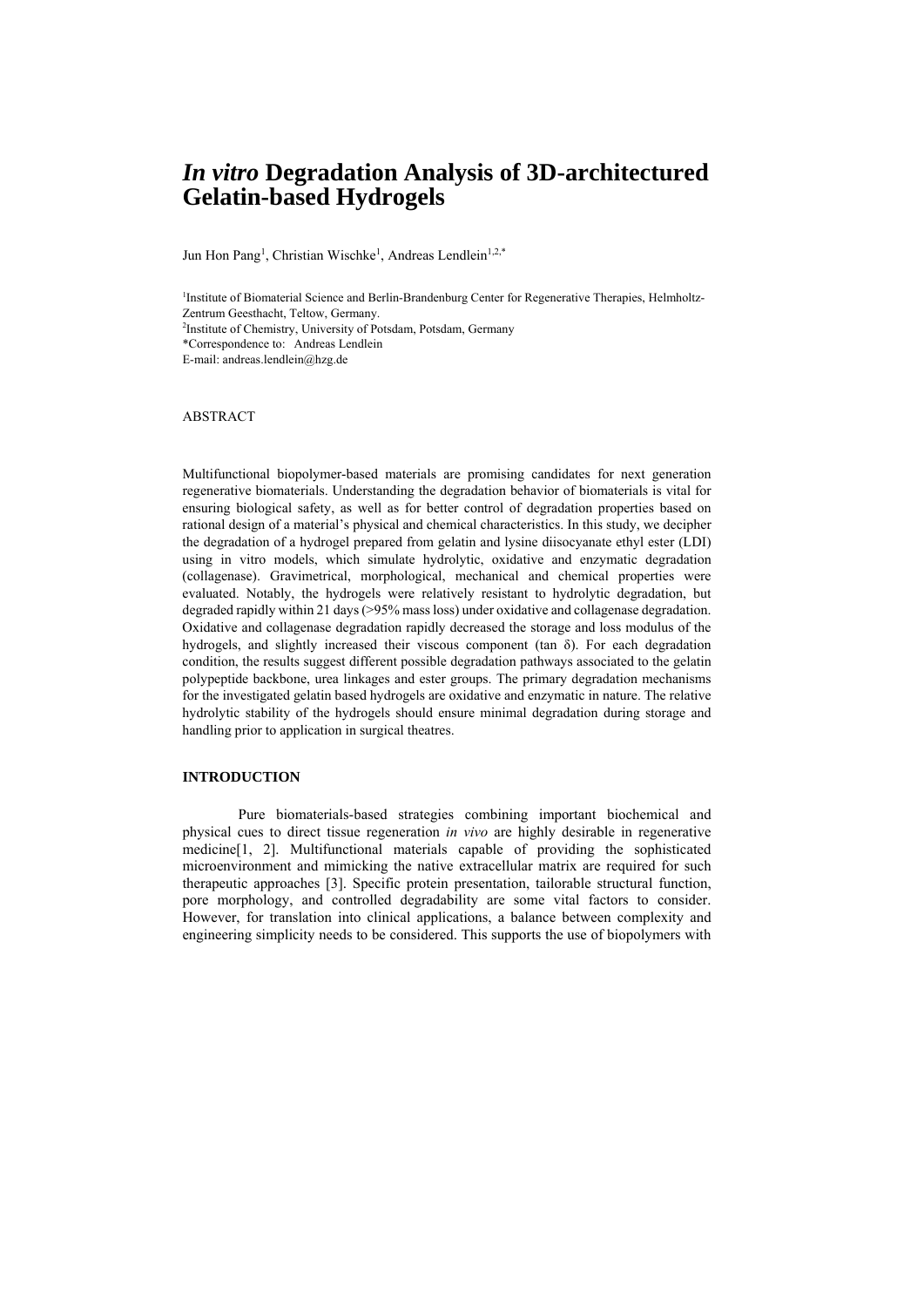# *In vitro* **Degradation Analysis of 3D-architectured Gelatin-based Hydrogels**

Jun Hon Pang<sup>1</sup>, Christian Wischke<sup>1</sup>, Andreas Lendlein<sup>1,2,\*</sup>

<sup>1</sup>Institute of Biomaterial Science and Berlin-Brandenburg Center for Regenerative Therapies, Helmholtz-Zentrum Geesthacht, Teltow, Germany. 2 Institute of Chemistry, University of Potsdam, Potsdam, Germany \*Correspondence to: Andreas Lendlein E-mail: andreas.lendlein@hzg.de

#### ABSTRACT

Multifunctional biopolymer-based materials are promising candidates for next generation regenerative biomaterials. Understanding the degradation behavior of biomaterials is vital for ensuring biological safety, as well as for better control of degradation properties based on rational design of a material's physical and chemical characteristics. In this study, we decipher the degradation of a hydrogel prepared from gelatin and lysine diisocyanate ethyl ester (LDI) using in vitro models, which simulate hydrolytic, oxidative and enzymatic degradation (collagenase). Gravimetrical, morphological, mechanical and chemical properties were evaluated. Notably, the hydrogels were relatively resistant to hydrolytic degradation, but degraded rapidly within 21 days (>95% mass loss) under oxidative and collagenase degradation. Oxidative and collagenase degradation rapidly decreased the storage and loss modulus of the hydrogels, and slightly increased their viscous component (tan  $\delta$ ). For each degradation condition, the results suggest different possible degradation pathways associated to the gelatin polypeptide backbone, urea linkages and ester groups. The primary degradation mechanisms for the investigated gelatin based hydrogels are oxidative and enzymatic in nature. The relative hydrolytic stability of the hydrogels should ensure minimal degradation during storage and handling prior to application in surgical theatres.

### **INTRODUCTION**

Pure biomaterials-based strategies combining important biochemical and physical cues to direct tissue regeneration *in vivo* are highly desirable in regenerative medicine[1, 2]. Multifunctional materials capable of providing the sophisticated microenvironment and mimicking the native extracellular matrix are required for such therapeutic approaches [3]. Specific protein presentation, tailorable structural function, pore morphology, and controlled degradability are some vital factors to consider. However, for translation into clinical applications, a balance between complexity and engineering simplicity needs to be considered. This supports the use of biopolymers with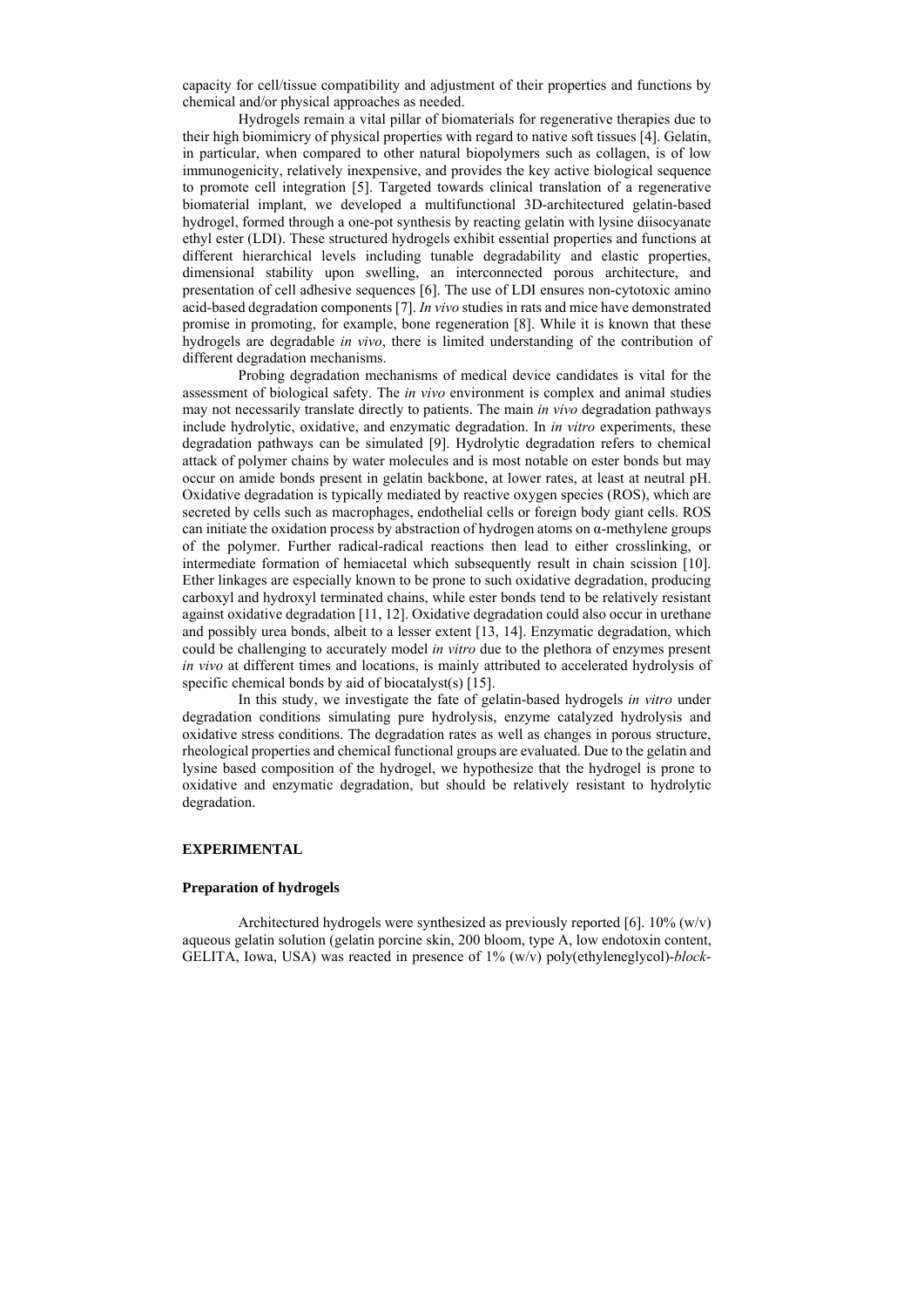capacity for cell/tissue compatibility and adjustment of their properties and functions by chemical and/or physical approaches as needed.

Hydrogels remain a vital pillar of biomaterials for regenerative therapies due to their high biomimicry of physical properties with regard to native soft tissues [4]. Gelatin, in particular, when compared to other natural biopolymers such as collagen, is of low immunogenicity, relatively inexpensive, and provides the key active biological sequence to promote cell integration [5]. Targeted towards clinical translation of a regenerative biomaterial implant, we developed a multifunctional 3D-architectured gelatin-based hydrogel, formed through a one-pot synthesis by reacting gelatin with lysine diisocyanate ethyl ester (LDI). These structured hydrogels exhibit essential properties and functions at different hierarchical levels including tunable degradability and elastic properties, dimensional stability upon swelling, an interconnected porous architecture, and presentation of cell adhesive sequences [6]. The use of LDI ensures non-cytotoxic amino acid-based degradation components [7]. *In vivo* studies in rats and mice have demonstrated promise in promoting, for example, bone regeneration [8]. While it is known that these hydrogels are degradable *in vivo*, there is limited understanding of the contribution of different degradation mechanisms.

Probing degradation mechanisms of medical device candidates is vital for the assessment of biological safety. The *in vivo* environment is complex and animal studies may not necessarily translate directly to patients. The main *in vivo* degradation pathways include hydrolytic, oxidative, and enzymatic degradation. In *in vitro* experiments, these degradation pathways can be simulated [9]. Hydrolytic degradation refers to chemical attack of polymer chains by water molecules and is most notable on ester bonds but may occur on amide bonds present in gelatin backbone, at lower rates, at least at neutral pH. Oxidative degradation is typically mediated by reactive oxygen species (ROS), which are secreted by cells such as macrophages, endothelial cells or foreign body giant cells. ROS can initiate the oxidation process by abstraction of hydrogen atoms on α-methylene groups of the polymer. Further radical-radical reactions then lead to either crosslinking, or intermediate formation of hemiacetal which subsequently result in chain scission [10]. Ether linkages are especially known to be prone to such oxidative degradation, producing carboxyl and hydroxyl terminated chains, while ester bonds tend to be relatively resistant against oxidative degradation [11, 12]. Oxidative degradation could also occur in urethane and possibly urea bonds, albeit to a lesser extent [13, 14]. Enzymatic degradation, which could be challenging to accurately model *in vitro* due to the plethora of enzymes present *in vivo* at different times and locations, is mainly attributed to accelerated hydrolysis of specific chemical bonds by aid of biocatalyst(s) [15].

In this study, we investigate the fate of gelatin-based hydrogels *in vitro* under degradation conditions simulating pure hydrolysis, enzyme catalyzed hydrolysis and oxidative stress conditions. The degradation rates as well as changes in porous structure, rheological properties and chemical functional groups are evaluated. Due to the gelatin and lysine based composition of the hydrogel, we hypothesize that the hydrogel is prone to oxidative and enzymatic degradation, but should be relatively resistant to hydrolytic degradation.

#### **EXPERIMENTAL**

#### **Preparation of hydrogels**

Architectured hydrogels were synthesized as previously reported [6]. 10% (w/v) aqueous gelatin solution (gelatin porcine skin, 200 bloom, type A, low endotoxin content, GELITA, Iowa, USA) was reacted in presence of 1% (w/v) poly(ethyleneglycol)-*block*-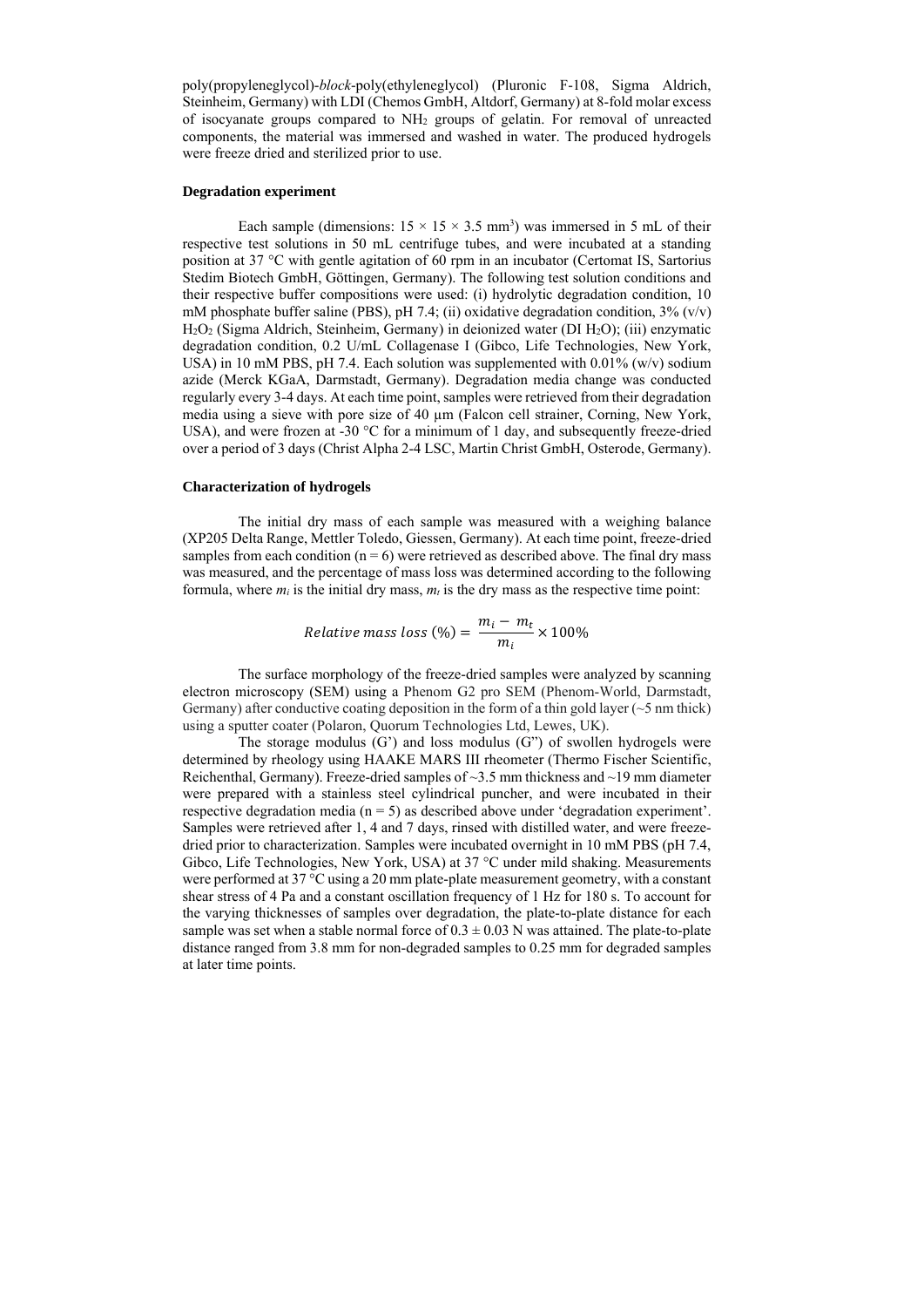poly(propyleneglycol)-*block*-poly(ethyleneglycol) (Pluronic F-108, Sigma Aldrich, Steinheim, Germany) with LDI (Chemos GmbH, Altdorf, Germany) at 8-fold molar excess of isocyanate groups compared to NH2 groups of gelatin. For removal of unreacted components, the material was immersed and washed in water. The produced hydrogels were freeze dried and sterilized prior to use.

#### **Degradation experiment**

Each sample (dimensions:  $15 \times 15 \times 3.5$  mm<sup>3</sup>) was immersed in 5 mL of their respective test solutions in 50 mL centrifuge tubes, and were incubated at a standing position at 37 °C with gentle agitation of 60 rpm in an incubator (Certomat IS, Sartorius Stedim Biotech GmbH, Göttingen, Germany). The following test solution conditions and their respective buffer compositions were used: (i) hydrolytic degradation condition, 10 mM phosphate buffer saline (PBS), pH 7.4; (ii) oxidative degradation condition,  $3\%$  (v/v) H2O2 (Sigma Aldrich, Steinheim, Germany) in deionized water (DI H2O); (iii) enzymatic degradation condition, 0.2 U/mL Collagenase I (Gibco, Life Technologies, New York, USA) in 10 mM PBS, pH 7.4. Each solution was supplemented with 0.01% (w/v) sodium azide (Merck KGaA, Darmstadt, Germany). Degradation media change was conducted regularly every 3-4 days. At each time point, samples were retrieved from their degradation media using a sieve with pore size of 40 µm (Falcon cell strainer, Corning, New York, USA), and were frozen at -30 °C for a minimum of 1 day, and subsequently freeze-dried over a period of 3 days (Christ Alpha 2-4 LSC, Martin Christ GmbH, Osterode, Germany).

#### **Characterization of hydrogels**

The initial dry mass of each sample was measured with a weighing balance (XP205 Delta Range, Mettler Toledo, Giessen, Germany). At each time point, freeze-dried samples from each condition  $(n = 6)$  were retrieved as described above. The final dry mass was measured, and the percentage of mass loss was determined according to the following formula, where  $m_i$  is the initial dry mass,  $m_t$  is the dry mass as the respective time point:

*Relative mass loss* (
$$
\%
$$
) =  $\frac{m_i - m_t}{m_i} \times 100\%$ 

The surface morphology of the freeze-dried samples were analyzed by scanning electron microscopy (SEM) using a Phenom G2 pro SEM (Phenom-World, Darmstadt, Germany) after conductive coating deposition in the form of a thin gold layer ( $\sim$  5 nm thick) using a sputter coater (Polaron, Quorum Technologies Ltd, Lewes, UK).

The storage modulus  $(G')$  and loss modulus  $(G'')$  of swollen hydrogels were determined by rheology using HAAKE MARS III rheometer (Thermo Fischer Scientific, Reichenthal, Germany). Freeze-dried samples of ~3.5 mm thickness and ~19 mm diameter were prepared with a stainless steel cylindrical puncher, and were incubated in their respective degradation media ( $n = 5$ ) as described above under 'degradation experiment'. Samples were retrieved after 1, 4 and 7 days, rinsed with distilled water, and were freezedried prior to characterization. Samples were incubated overnight in 10 mM PBS (pH 7.4, Gibco, Life Technologies, New York, USA) at 37 °C under mild shaking. Measurements were performed at 37 °C using a 20 mm plate-plate measurement geometry, with a constant shear stress of 4 Pa and a constant oscillation frequency of 1 Hz for 180 s. To account for the varying thicknesses of samples over degradation, the plate-to-plate distance for each sample was set when a stable normal force of  $0.3 \pm 0.03$  N was attained. The plate-to-plate distance ranged from 3.8 mm for non-degraded samples to 0.25 mm for degraded samples at later time points.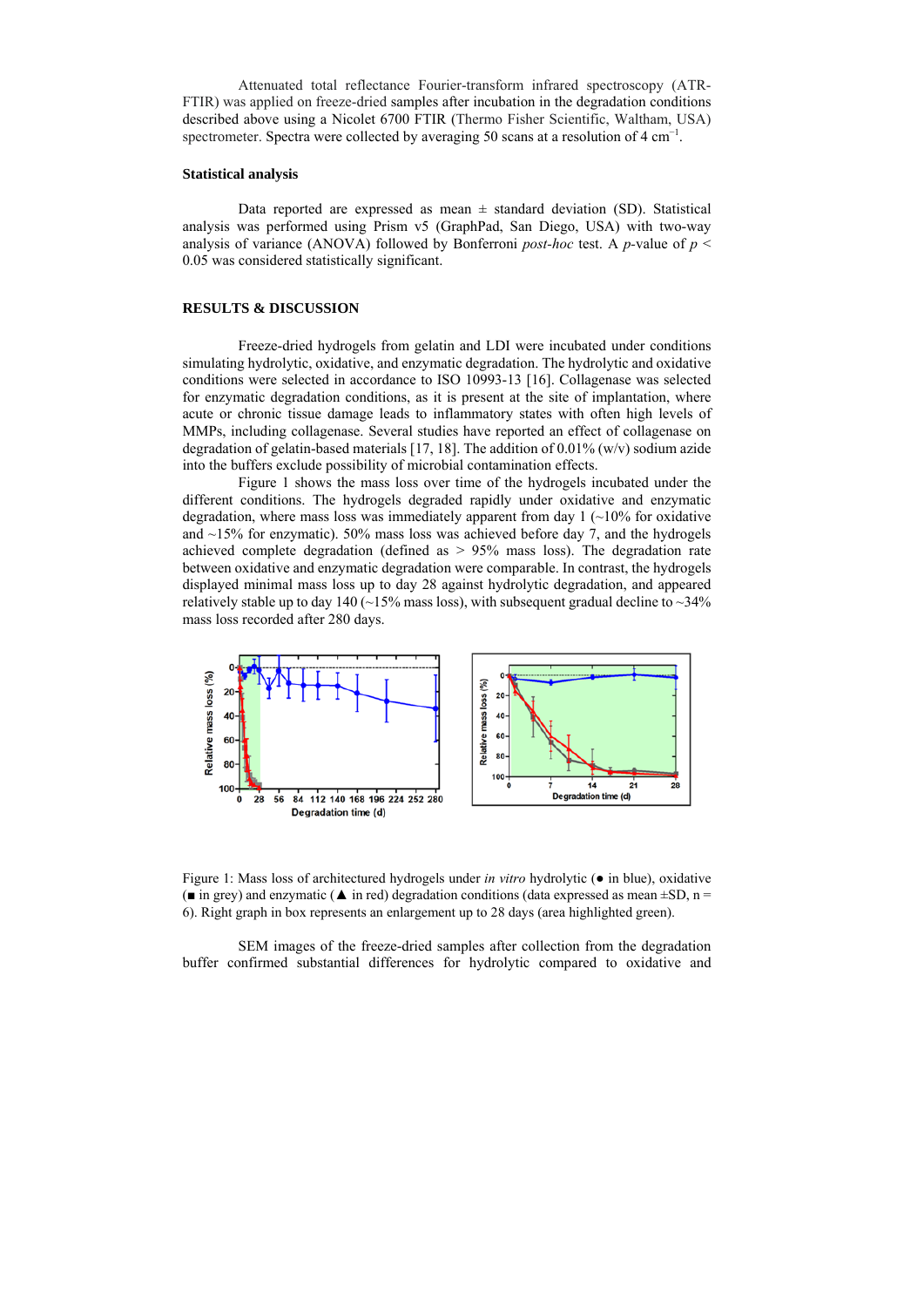Attenuated total reflectance Fourier‐transform infrared spectroscopy (ATR-FTIR) was applied on freeze-dried samples after incubation in the degradation conditions described above using a Nicolet 6700 FTIR (Thermo Fisher Scientific, Waltham, USA) spectrometer. Spectra were collected by averaging 50 scans at a resolution of  $4 \text{ cm}^{-1}$ .

#### **Statistical analysis**

Data reported are expressed as mean  $\pm$  standard deviation (SD). Statistical analysis was performed using Prism v5 (GraphPad, San Diego, USA) with two-way analysis of variance (ANOVA) followed by Bonferroni *post-hoc* test. A *p-*value of *p* < 0.05 was considered statistically significant.

#### **RESULTS & DISCUSSION**

Freeze-dried hydrogels from gelatin and LDI were incubated under conditions simulating hydrolytic, oxidative, and enzymatic degradation. The hydrolytic and oxidative conditions were selected in accordance to ISO 10993-13 [16]. Collagenase was selected for enzymatic degradation conditions, as it is present at the site of implantation, where acute or chronic tissue damage leads to inflammatory states with often high levels of MMPs, including collagenase. Several studies have reported an effect of collagenase on degradation of gelatin-based materials [17, 18]. The addition of 0.01% (w/v) sodium azide into the buffers exclude possibility of microbial contamination effects.

Figure 1 shows the mass loss over time of the hydrogels incubated under the different conditions. The hydrogels degraded rapidly under oxidative and enzymatic degradation, where mass loss was immediately apparent from day  $1$  ( $\sim$ 10% for oxidative and ~15% for enzymatic). 50% mass loss was achieved before day 7, and the hydrogels achieved complete degradation (defined as > 95% mass loss). The degradation rate between oxidative and enzymatic degradation were comparable. In contrast, the hydrogels displayed minimal mass loss up to day 28 against hydrolytic degradation, and appeared relatively stable up to day 140 ( $\sim$ 15% mass loss), with subsequent gradual decline to  $\sim$ 34% mass loss recorded after 280 days.



Figure 1: Mass loss of architectured hydrogels under *in vitro* hydrolytic (● in blue), oxidative ( $\blacksquare$  in grey) and enzymatic ( $\blacktriangle$  in red) degradation conditions (data expressed as mean  $\pm SD$ , n = 6). Right graph in box represents an enlargement up to 28 days (area highlighted green).

SEM images of the freeze-dried samples after collection from the degradation buffer confirmed substantial differences for hydrolytic compared to oxidative and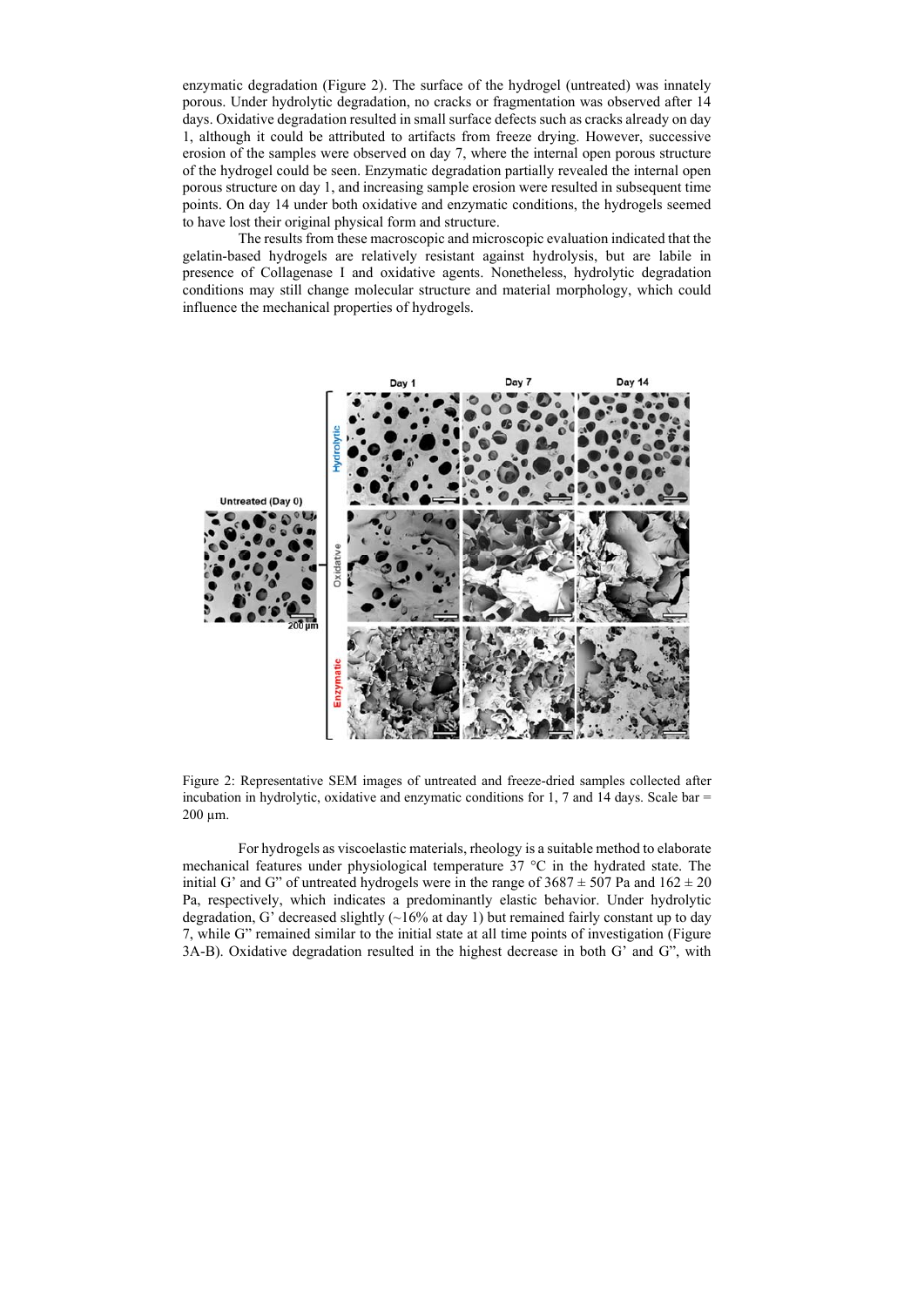enzymatic degradation (Figure 2). The surface of the hydrogel (untreated) was innately porous. Under hydrolytic degradation, no cracks or fragmentation was observed after 14 days. Oxidative degradation resulted in small surface defects such as cracks already on day 1, although it could be attributed to artifacts from freeze drying. However, successive erosion of the samples were observed on day 7, where the internal open porous structure of the hydrogel could be seen. Enzymatic degradation partially revealed the internal open porous structure on day 1, and increasing sample erosion were resulted in subsequent time points. On day 14 under both oxidative and enzymatic conditions, the hydrogels seemed to have lost their original physical form and structure.

The results from these macroscopic and microscopic evaluation indicated that the gelatin-based hydrogels are relatively resistant against hydrolysis, but are labile in presence of Collagenase I and oxidative agents. Nonetheless, hydrolytic degradation conditions may still change molecular structure and material morphology, which could influence the mechanical properties of hydrogels.



Figure 2: Representative SEM images of untreated and freeze-dried samples collected after incubation in hydrolytic, oxidative and enzymatic conditions for 1, 7 and 14 days. Scale bar  $=$ 200 µm.

For hydrogels as viscoelastic materials, rheology is a suitable method to elaborate mechanical features under physiological temperature 37 °C in the hydrated state. The initial G' and G" of untreated hydrogels were in the range of  $3687 \pm 507$  Pa and  $162 \pm 20$ Pa, respectively, which indicates a predominantly elastic behavior. Under hydrolytic degradation, G' decreased slightly  $\left(\sim\right]16\%$  at day 1) but remained fairly constant up to day 7, while G" remained similar to the initial state at all time points of investigation (Figure 3A-B). Oxidative degradation resulted in the highest decrease in both G' and G", with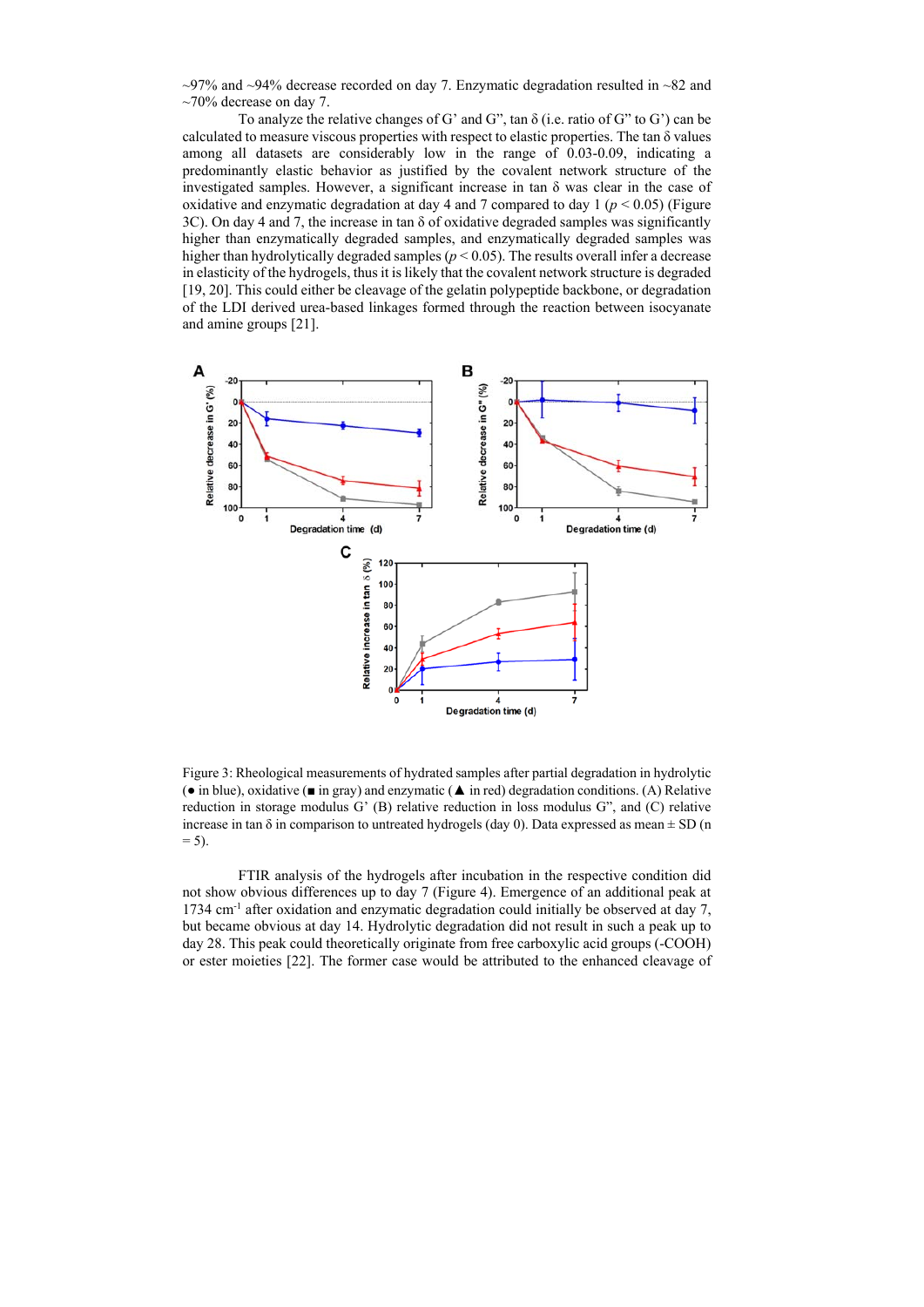$\sim$ 97% and  $\sim$ 94% decrease recorded on day 7. Enzymatic degradation resulted in  $\sim$ 82 and  $\sim$ 70% decrease on day 7.

To analyze the relative changes of G' and G", tan δ (i.e. ratio of G" to G') can be calculated to measure viscous properties with respect to elastic properties. The tan  $\delta$  values among all datasets are considerably low in the range of 0.03-0.09, indicating a predominantly elastic behavior as justified by the covalent network structure of the investigated samples. However, a significant increase in tan δ was clear in the case of oxidative and enzymatic degradation at day 4 and 7 compared to day 1 ( $p < 0.05$ ) (Figure 3C). On day 4 and 7, the increase in tan δ of oxidative degraded samples was significantly higher than enzymatically degraded samples, and enzymatically degraded samples was higher than hydrolytically degraded samples ( $p$  < 0.05). The results overall infer a decrease in elasticity of the hydrogels, thus it is likely that the covalent network structure is degraded [19, 20]. This could either be cleavage of the gelatin polypeptide backbone, or degradation of the LDI derived urea-based linkages formed through the reaction between isocyanate and amine groups [21].



Figure 3: Rheological measurements of hydrated samples after partial degradation in hydrolytic (● in blue), oxidative (■ in gray) and enzymatic (▲ in red) degradation conditions. (A) Relative reduction in storage modulus G' (B) relative reduction in loss modulus G", and (C) relative increase in tan  $\delta$  in comparison to untreated hydrogels (day 0). Data expressed as mean  $\pm$  SD (n  $= 5$ ).

FTIR analysis of the hydrogels after incubation in the respective condition did not show obvious differences up to day 7 (Figure 4). Emergence of an additional peak at 1734 cm-1 after oxidation and enzymatic degradation could initially be observed at day 7, but became obvious at day 14. Hydrolytic degradation did not result in such a peak up to day 28. This peak could theoretically originate from free carboxylic acid groups (-COOH) or ester moieties [22]. The former case would be attributed to the enhanced cleavage of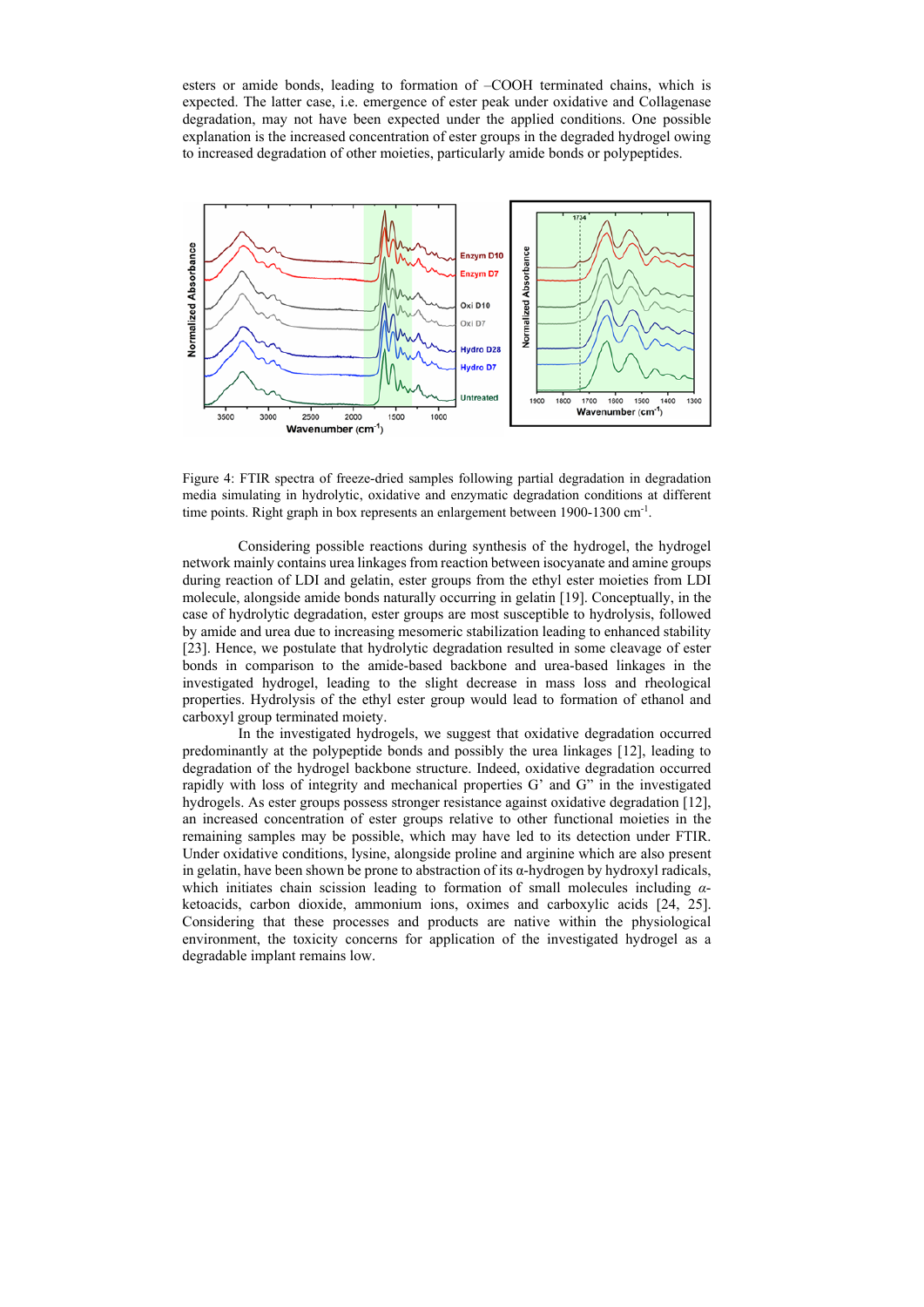esters or amide bonds, leading to formation of –COOH terminated chains, which is expected. The latter case, i.e. emergence of ester peak under oxidative and Collagenase degradation, may not have been expected under the applied conditions. One possible explanation is the increased concentration of ester groups in the degraded hydrogel owing to increased degradation of other moieties, particularly amide bonds or polypeptides.



Figure 4: FTIR spectra of freeze-dried samples following partial degradation in degradation media simulating in hydrolytic, oxidative and enzymatic degradation conditions at different time points. Right graph in box represents an enlargement between 1900-1300 cm<sup>-1</sup>.

Considering possible reactions during synthesis of the hydrogel, the hydrogel network mainly contains urea linkages from reaction between isocyanate and amine groups during reaction of LDI and gelatin, ester groups from the ethyl ester moieties from LDI molecule, alongside amide bonds naturally occurring in gelatin [19]. Conceptually, in the case of hydrolytic degradation, ester groups are most susceptible to hydrolysis, followed by amide and urea due to increasing mesomeric stabilization leading to enhanced stability [23]. Hence, we postulate that hydrolytic degradation resulted in some cleavage of ester bonds in comparison to the amide-based backbone and urea-based linkages in the investigated hydrogel, leading to the slight decrease in mass loss and rheological properties. Hydrolysis of the ethyl ester group would lead to formation of ethanol and carboxyl group terminated moiety.

In the investigated hydrogels, we suggest that oxidative degradation occurred predominantly at the polypeptide bonds and possibly the urea linkages [12], leading to degradation of the hydrogel backbone structure. Indeed, oxidative degradation occurred rapidly with loss of integrity and mechanical properties G' and G" in the investigated hydrogels. As ester groups possess stronger resistance against oxidative degradation [12], an increased concentration of ester groups relative to other functional moieties in the remaining samples may be possible, which may have led to its detection under FTIR. Under oxidative conditions, lysine, alongside proline and arginine which are also present in gelatin, have been shown be prone to abstraction of its  $\alpha$ -hydrogen by hydroxyl radicals, which initiates chain scission leading to formation of small molecules including *α*ketoacids, carbon dioxide, ammonium ions, oximes and carboxylic acids [24, 25]. Considering that these processes and products are native within the physiological environment, the toxicity concerns for application of the investigated hydrogel as a degradable implant remains low.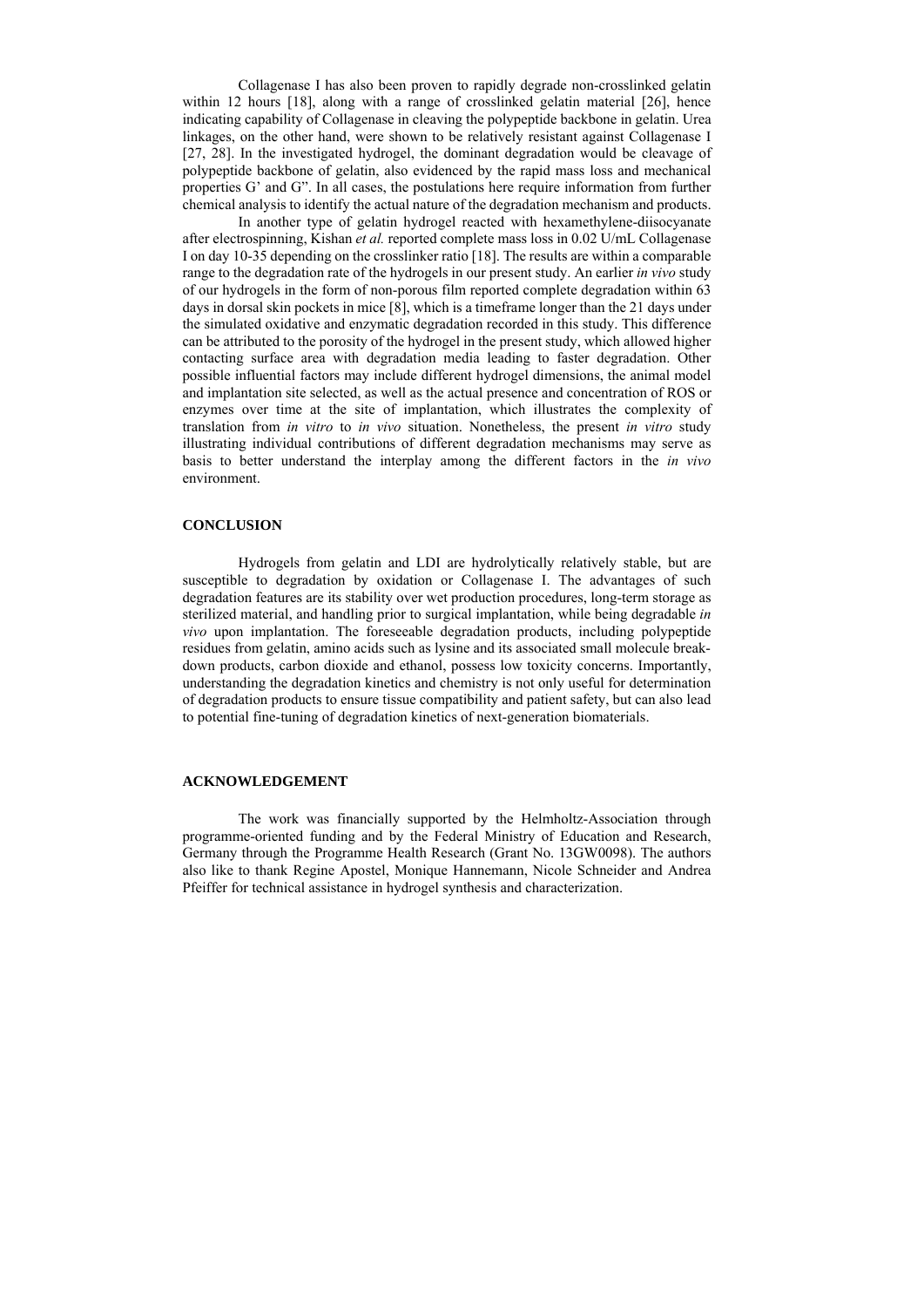Collagenase I has also been proven to rapidly degrade non-crosslinked gelatin within 12 hours [18], along with a range of crosslinked gelatin material [26], hence indicating capability of Collagenase in cleaving the polypeptide backbone in gelatin. Urea linkages, on the other hand, were shown to be relatively resistant against Collagenase I [27, 28]. In the investigated hydrogel, the dominant degradation would be cleavage of polypeptide backbone of gelatin, also evidenced by the rapid mass loss and mechanical properties G' and G". In all cases, the postulations here require information from further chemical analysis to identify the actual nature of the degradation mechanism and products.

In another type of gelatin hydrogel reacted with hexamethylene-diisocyanate after electrospinning, Kishan *et al.* reported complete mass loss in 0.02 U/mL Collagenase I on day 10-35 depending on the crosslinker ratio [18]. The results are within a comparable range to the degradation rate of the hydrogels in our present study. An earlier *in vivo* study of our hydrogels in the form of non-porous film reported complete degradation within 63 days in dorsal skin pockets in mice [8], which is a timeframe longer than the 21 days under the simulated oxidative and enzymatic degradation recorded in this study. This difference can be attributed to the porosity of the hydrogel in the present study, which allowed higher contacting surface area with degradation media leading to faster degradation. Other possible influential factors may include different hydrogel dimensions, the animal model and implantation site selected, as well as the actual presence and concentration of ROS or enzymes over time at the site of implantation, which illustrates the complexity of translation from *in vitro* to *in vivo* situation. Nonetheless, the present *in vitro* study illustrating individual contributions of different degradation mechanisms may serve as basis to better understand the interplay among the different factors in the *in vivo* environment.

#### **CONCLUSION**

Hydrogels from gelatin and LDI are hydrolytically relatively stable, but are susceptible to degradation by oxidation or Collagenase I. The advantages of such degradation features are its stability over wet production procedures, long-term storage as sterilized material, and handling prior to surgical implantation, while being degradable *in vivo* upon implantation. The foreseeable degradation products, including polypeptide residues from gelatin, amino acids such as lysine and its associated small molecule breakdown products, carbon dioxide and ethanol, possess low toxicity concerns. Importantly, understanding the degradation kinetics and chemistry is not only useful for determination of degradation products to ensure tissue compatibility and patient safety, but can also lead to potential fine-tuning of degradation kinetics of next-generation biomaterials.

## **ACKNOWLEDGEMENT**

The work was financially supported by the Helmholtz-Association through programme-oriented funding and by the Federal Ministry of Education and Research, Germany through the Programme Health Research (Grant No. 13GW0098). The authors also like to thank Regine Apostel, Monique Hannemann, Nicole Schneider and Andrea Pfeiffer for technical assistance in hydrogel synthesis and characterization.